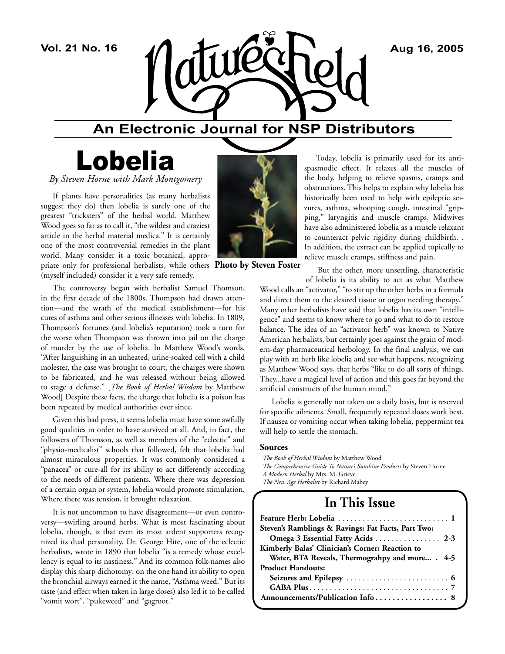

## **An Electronic Journal for NSP Distributors**

# Lobelia

*By Steven Horne with Mark Montgomery* 

If plants have personalities (as many herbalists suggest they do) then lobelia is surely one of the greatest "tricksters" of the herbal world. Matthew Wood goes so far as to call it, "the wildest and craziest article in the herbal material medica." It is certainly one of the most controversial remedies in the plant world. Many consider it a toxic botanical, appropriate only for professional herbalists, while others **Photo by Steven Foster**(myself included) consider it a very safe remedy.

The controversy began with herbalist Samuel Thomson, in the first decade of the 1800s. Thompson had drawn attention—and the wrath of the medical establishment—for his cures of asthma and other serious illnesses with lobelia. In 1809, Thompson's fortunes (and lobelia's reputation) took a turn for the worse when Thompson was thrown into jail on the charge of murder by the use of lobelia. In Matthew Wood's words, "After languishing in an unheated, urine-soaked cell with a child molester, the case was brought to court, the charges were shown to be fabricated, and he was released without being allowed to stage a defense." [*The Book of Herbal Wisdom* by Matthew Wood] Despite these facts, the charge that lobelia is a poison has been repeated by medical authorities ever since.

Given this bad press, it seems lobelia must have some awfully good qualities in order to have survived at all. And, in fact, the followers of Thomson, as well as members of the "eclectic" and "physio-medicalist" schools that followed, felt that lobelia had almost miraculous properties. It was commonly considered a "panacea" or cure-all for its ability to act differently according to the needs of different patients. Where there was depression of a certain organ or system, lobelia would promote stimulation. Where there was tension, it brought relaxation.

It is not uncommon to have disagreement—or even controversy—swirling around herbs. What is most fascinating about lobelia, though, is that even its most ardent supporters recognized its dual personality. Dr. George Hite, one of the eclectic herbalists, wrote in 1890 that lobelia "is a remedy whose excellency is equal to its nastiness." And its common folk-names also display this sharp dichotomy: on the one hand its ability to open the bronchial airways earned it the name, "Asthma weed." But its taste (and effect when taken in large doses) also led it to be called "vomit wort", "pukeweed" and "gagroot."



Today, lobelia is primarily used for its antispasmodic effect. It relaxes all the muscles of the body, helping to relieve spasms, cramps and obstructions. This helps to explain why lobelia has historically been used to help with epileptic seizures, asthma, whooping cough, intestinal "gripping," laryngitis and muscle cramps. Midwives have also administered lobelia as a muscle relaxant to counteract pelvic rigidity during childbirth. . In addition, the extract can be applied topically to relieve muscle cramps, stiffness and pain.

But the other, more unsettling, characteristic

of lobelia is its ability to act as what Matthew Wood calls an "activator," "to stir up the other herbs in a formula and direct them to the desired tissue or organ needing therapy." Many other herbalists have said that lobelia has its own "intelligence" and seems to know where to go and what to do to restore balance. The idea of an "activator herb" was known to Native American herbalists, but certainly goes against the grain of modern-day pharmaceutical herbology. In the final analysis, we can play with an herb like lobelia and see what happens, recognizing as Matthew Wood says, that herbs "like to do all sorts of things. They...have a magical level of action and this goes far beyond the artificial constructs of the human mind."

Lobelia is generally not taken on a daily basis, but is reserved for specific ailments. Small, frequently repeated doses work best. If nausea or vomiting occur when taking lobelia, peppermint tea will help to settle the stomach.

#### **Sources**

*The Book of Herbal Wisdom* by Matthew Wood *The Comprehensive Guide To Nature's Sunshine Products* by Steven Horne *A Modern Herbal* by Mrs. M. Grieve *The New Age Herbalist* by Richard Mabey

### **In This Issue**

| Steven's Ramblings & Ravings: Fat Facts, Part Two: |
|----------------------------------------------------|
| Omega 3 Essential Fatty Acids  2-3                 |
| Kimberly Balas' Clinician's Corner: Reaction to    |
| Water, BTA Reveals, Thermograhpy and more . 4-5    |
| <b>Product Handouts:</b>                           |
|                                                    |
|                                                    |
|                                                    |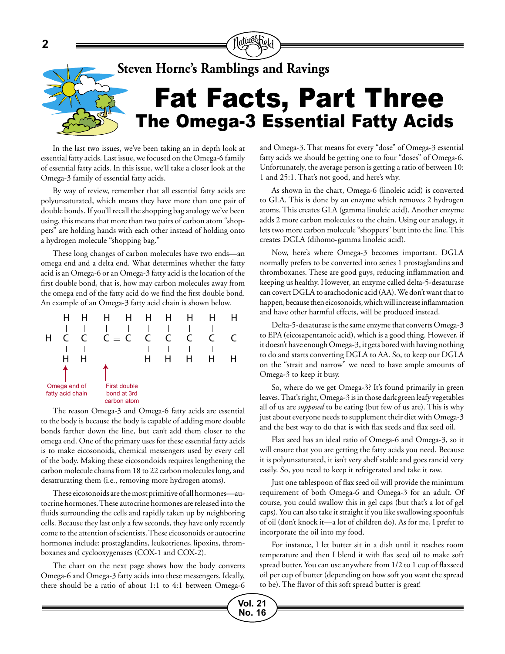

**Vol. 21 No. 16**

In the last two issues, we've been taking an in depth look at essential fatty acids. Last issue, we focused on the Omega-6 family of essential fatty acids. In this issue, we'll take a closer look at the Omega-3 family of essential fatty acids.

By way of review, remember that all essential fatty acids are polyunsaturated, which means they have more than one pair of double bonds. If you'll recall the shopping bag analogy we've been using, this means that more than two pairs of carbon atom "shoppers" are holding hands with each other instead of holding onto a hydrogen molecule "shopping bag."

These long changes of carbon molecules have two ends—an omega end and a delta end. What determines whether the fatty acid is an Omega-6 or an Omega-3 fatty acid is the location of the first double bond, that is, how may carbon molecules away from the omega end of the fatty acid do we find the first double bond. An example of an Omega-3 fatty acid chain is shown below.



The reason Omega-3 and Omega-6 fatty acids are essential to the body is because the body is capable of adding more double bonds farther down the line, but can't add them closer to the omega end. One of the primary uses for these essential fatty acids is to make eicosonoids, chemical messengers used by every cell of the body. Making these eicosondoids requires lengthening the carbon molecule chains from 18 to 22 carbon molecules long, and desatrurating them (i.e., removing more hydrogen atoms).

These eicosonoids are the most primitive of all hormones—autocrine hormones. These autocrine hormones are released into the fluids surrounding the cells and rapidly taken up by neighboring cells. Because they last only a few seconds, they have only recently come to the attention of scientists. These eicosonoids or autocrine hormones include: prostaglandins, leukotrienes, lipoxins, thromboxanes and cyclooxygenases (COX-1 and COX-2).

The chart on the next page shows how the body converts Omega-6 and Omega-3 fatty acids into these messengers. Ideally, there should be a ratio of about 1:1 to 4:1 between Omega-6 and Omega-3. That means for every "dose" of Omega-3 essential fatty acids we should be getting one to four "doses" of Omega-6. Unfortunately, the average person is getting a ratio of between 10: 1 and 25:1. That's not good, and here's why.

As shown in the chart, Omega-6 (linoleic acid) is converted to GLA. This is done by an enzyme which removes 2 hydrogen atoms. This creates GLA (gamma linoleic acid). Another enzyme adds 2 more carbon molecules to the chain. Using our analogy, it lets two more carbon molecule "shoppers" butt into the line. This creates DGLA (dihomo-gamma linoleic acid).

Now, here's where Omega-3 becomes important. DGLA normally prefers to be converted into series 1 prostaglandins and thromboxanes. These are good guys, reducing inflammation and keeping us healthy. However, an enzyme called delta-5-desaturase can covert DGLA to arachodonic acid (AA). We don't want that to happen, because then eicosonoids, which will increase inflammation and have other harmful effects, will be produced instead.

Delta-5-desaturase is the same enzyme that converts Omega-3 to EPA (eicosapentanoic acid), which is a good thing. However, if it doesn't have enough Omega-3, it gets bored with having nothing to do and starts converting DGLA to AA. So, to keep our DGLA on the "strait and narrow" we need to have ample amounts of Omega-3 to keep it busy.

So, where do we get Omega-3? It's found primarily in green leaves. That's right, Omega-3 is in those dark green leafy vegetables all of us are *supposed* to be eating (but few of us are). This is why just about everyone needs to supplement their diet with Omega-3 and the best way to do that is with flax seeds and flax seed oil.

Flax seed has an ideal ratio of Omega-6 and Omega-3, so it will ensure that you are getting the fatty acids you need. Because it is polyunsaturated, it isn't very shelf stable and goes rancid very easily. So, you need to keep it refrigerated and take it raw.

Just one tablespoon of flax seed oil will provide the minimum requirement of both Omega-6 and Omega-3 for an adult. Of course, you could swallow this in gel caps (but that's a lot of gel caps). You can also take it straight if you like swallowing spoonfuls of oil (don't knock it—a lot of children do). As for me, I prefer to incorporate the oil into my food.

For instance, I let butter sit in a dish until it reaches room temperature and then I blend it with flax seed oil to make soft spread butter. You can use anywhere from 1/2 to 1 cup of flaxseed oil per cup of butter (depending on how soft you want the spread to be). The flavor of this soft spread butter is great!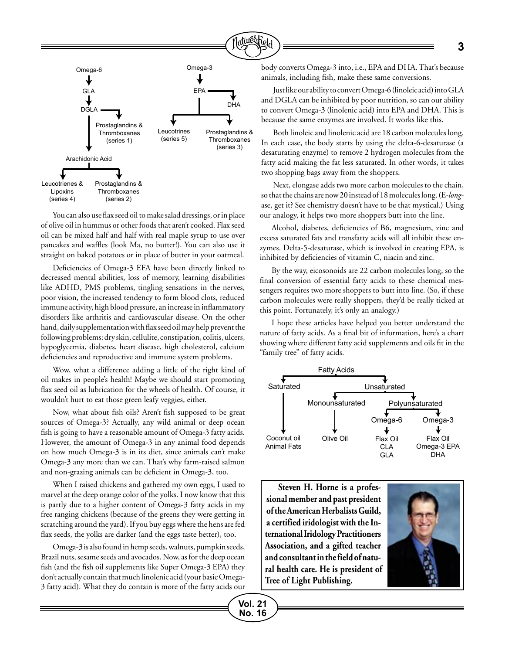

You can also use flax seed oil to make salad dressings, or in place of olive oil in hummus or other foods that aren't cooked. Flax seed oil can be mixed half and half with real maple syrup to use over pancakes and waffles (look Ma, no butter!). You can also use it straight on baked potatoes or in place of butter in your oatmeal.

Deficiencies of Omega-3 EFA have been directly linked to decreased mental abilities, loss of memory, learning disabilities like ADHD, PMS problems, tingling sensations in the nerves, poor vision, the increased tendency to form blood clots, reduced immune activity, high blood pressure, an increase in inflammatory disorders like arthritis and cardiovascular disease. On the other hand, daily supplementation with flax seed oil may help prevent the following problems: dry skin, cellulite, constipation, colitis, ulcers, hypoglycemia, diabetes, heart disease, high cholesterol, calcium deficiencies and reproductive and immune system problems.

Wow, what a difference adding a little of the right kind of oil makes in people's health! Maybe we should start promoting flax seed oil as lubrication for the wheels of health. Of course, it wouldn't hurt to eat those green leafy veggies, either.

Now, what about fish oils? Aren't fish supposed to be great sources of Omega-3? Actually, any wild animal or deep ocean fish is going to have a reasonable amount of Omega-3 fatty acids. However, the amount of Omega-3 in any animal food depends on how much Omega-3 is in its diet, since animals can't make Omega-3 any more than we can. That's why farm-raised salmon and non-grazing animals can be deficient in Omega-3, too.

When I raised chickens and gathered my own eggs, I used to marvel at the deep orange color of the yolks. I now know that this is partly due to a higher content of Omega-3 fatty acids in my free ranging chickens (because of the greens they were getting in scratching around the yard). If you buy eggs where the hens are fed flax seeds, the yolks are darker (and the eggs taste better), too.

Omega-3 is also found in hemp seeds, walnuts, pumpkin seeds, Brazil nuts, sesame seeds and avocados. Now, as for the deep ocean fish (and the fish oil supplements like Super Omega-3 EPA) they don't actually contain that much linolenic acid (your basic Omega-3 fatty acid). What they do contain is more of the fatty acids our body converts Omega-3 into, i.e., EPA and DHA. That's because animals, including fish, make these same conversions.

Just like our ability to convert Omega-6 (linoleic acid) into GLA and DGLA can be inhibited by poor nutrition, so can our ability to convert Omega-3 (linolenic acid) into EPA and DHA. This is because the same enzymes are involved. It works like this.

Both linoleic and linolenic acid are 18 carbon molecules long. In each case, the body starts by using the delta-6-desaturase (a desaturating enzyme) to remove 2 hydrogen molecules from the fatty acid making the fat less saturated. In other words, it takes two shopping bags away from the shoppers.

Next, elongase adds two more carbon molecules to the chain, so that the chains are now 20 instead of 18 molecules long. (E-*long*ase, get it? See chemistry doesn't have to be that mystical.) Using our analogy, it helps two more shoppers butt into the line.

Alcohol, diabetes, deficiencies of B6, magnesium, zinc and excess saturated fats and transfatty acids will all inhibit these enzymes. Delta-5-desaturase, which is involved in creating EPA, is inhibited by deficiencies of vitamin C, niacin and zinc.

By the way, eicosonoids are 22 carbon molecules long, so the final conversion of essential fatty acids to these chemical messengers requires two more shoppers to butt into line. (So, if these carbon molecules were really shoppers, they'd be really ticked at this point. Fortunately, it's only an analogy.)

I hope these articles have helped you better understand the nature of fatty acids. As a final bit of information, here's a chart showing where different fatty acid supplements and oils fit in the "family tree" of fatty acids.



**Steven H. Horne is a professional member and past president of the American Herbalists Guild, a certified iridologist with the International Iridology Practitioners Association, and a gifted teacher and consultant in the field of natural health care. He is president of Tree of Light Publishing.**

**Vol. 21 No. 16**

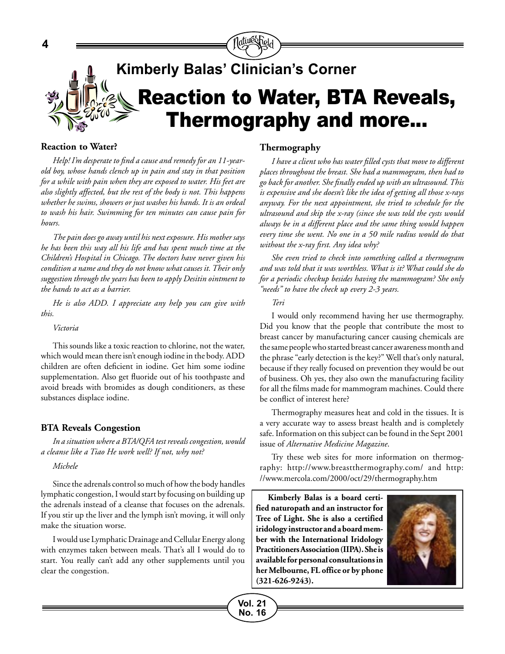

#### **Reaction to Water?**

*Help! I'm desperate to find a cause and remedy for an 11-yearold boy, whose hands clench up in pain and stay in that position for a while with pain when they are exposed to water. His feet are also slightly affected, but the rest of the body is not. This happens whether he swims, showers or just washes his hands. It is an ordeal to wash his hair. Swimming for ten minutes can cause pain for hours.*

*The pain does go away until his next exposure. His mother says he has been this way all his life and has spent much time at the Children's Hospital in Chicago. The doctors have never given his condition a name and they do not know what causes it. Their only suggestion through the years has been to apply Desitin ointment to the hands to act as a barrier.*

*He is also ADD. I appreciate any help you can give with this.*

#### *Victoria*

This sounds like a toxic reaction to chlorine, not the water, which would mean there isn't enough iodine in the body. ADD children are often deficient in iodine. Get him some iodine supplementation. Also get fluoride out of his toothpaste and avoid breads with bromides as dough conditioners, as these substances displace iodine.

#### **BTA Reveals Congestion**

*In a situation where a BTA/QFA test reveals congestion, would a cleanse like a Tiao He work well? If not, why not?*

#### *Michele*

Since the adrenals control so much of how the body handles lymphatic congestion, I would start by focusing on building up the adrenals instead of a cleanse that focuses on the adrenals. If you stir up the liver and the lymph isn't moving, it will only make the situation worse.

I would use Lymphatic Drainage and Cellular Energy along with enzymes taken between meals. That's all I would do to start. You really can't add any other supplements until you clear the congestion.

#### **Thermography**

*I have a client who has water filled cysts that move to different places throughout the breast. She had a mammogram, then had to go back for another. She finally ended up with an ultrasound. This is expensive and she doesn't like the idea of getting all those x-rays anyway. For the next appointment, she tried to schedule for the ultrasound and skip the x-ray (since she was told the cysts would always be in a different place and the same thing would happen every time she went. No one in a 50 mile radius would do that without the x-ray first. Any idea why?*

*She even tried to check into something called a thermogram and was told that it was worthless. What is it? What could she do for a periodic checkup besides having the mammogram? She only "needs" to have the check up every 2-3 years.*

#### *Teri*

I would only recommend having her use thermography. Did you know that the people that contribute the most to breast cancer by manufacturing cancer causing chemicals are the same people who started breast cancer awareness month and the phrase "early detection is the key?" Well that's only natural, because if they really focused on prevention they would be out of business. Oh yes, they also own the manufacturing facility for all the films made for mammogram machines. Could there be conflict of interest here?

Thermography measures heat and cold in the tissues. It is a very accurate way to assess breast health and is completely safe. Information on this subject can be found in the Sept 2001 issue of *Alternative Medicine Magazine*.

Try these web sites for more information on thermography: http://www.breastthermography.com/ and http: //www.mercola.com/2000/oct/29/thermography.htm

**Kimberly Balas is a board certified naturopath and an instructor for Tree of Light. She is also a certified iridology instructor and a board member with the International Iridology Practitioners Association (IIPA). She is available for personal consultations in her Melbourne, FL office or by phone (321-626-9243).**

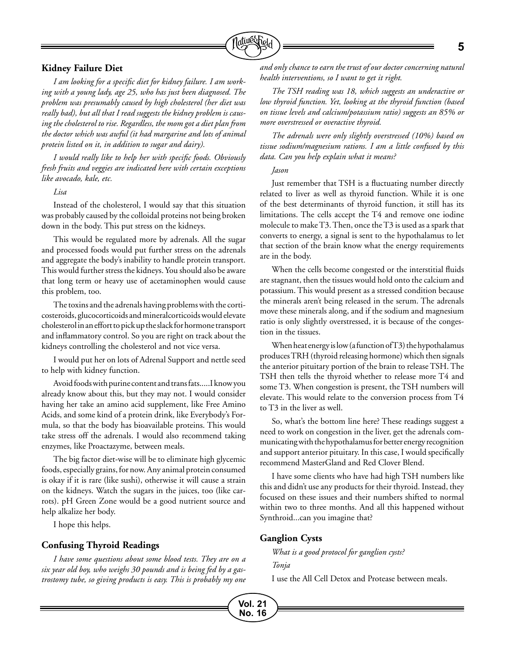

#### **Kidney Failure Diet**

*I am looking for a specific diet for kidney failure. I am working with a young lady, age 25, who has just been diagnosed. The problem was presumably caused by high cholesterol (her diet was really bad), but all that I read suggests the kidney problem is causing the cholesterol to rise. Regardless, the mom got a diet plan from the doctor which was awful (it had margarine and lots of animal protein listed on it, in addition to sugar and dairy).*

*I would really like to help her with specific foods. Obviously fresh fruits and veggies are indicated here with certain exceptions like avocado, kale, etc.*

#### *Lisa*

Instead of the cholesterol, I would say that this situation was probably caused by the colloidal proteins not being broken down in the body. This put stress on the kidneys.

This would be regulated more by adrenals. All the sugar and processed foods would put further stress on the adrenals and aggregate the body's inability to handle protein transport. This would further stress the kidneys. You should also be aware that long term or heavy use of acetaminophen would cause this problem, too.

The toxins and the adrenals having problems with the corticosteroids, glucocorticoids and mineralcorticoids would elevate cholesterol in an effort to pick up the slack for hormone transport and inflammatory control. So you are right on track about the kidneys controlling the cholesterol and not vice versa.

I would put her on lots of Adrenal Support and nettle seed to help with kidney function.

Avoid foods with purine content and trans fats.....I know you already know about this, but they may not. I would consider having her take an amino acid supplement, like Free Amino Acids, and some kind of a protein drink, like Everybody's Formula, so that the body has bioavailable proteins. This would take stress off the adrenals. I would also recommend taking enzymes, like Proactazyme, between meals.

The big factor diet-wise will be to eliminate high glycemic foods, especially grains, for now. Any animal protein consumed is okay if it is rare (like sushi), otherwise it will cause a strain on the kidneys. Watch the sugars in the juices, too (like carrots). pH Green Zone would be a good nutrient source and help alkalize her body.

I hope this helps.

#### **Confusing Thyroid Readings**

*I have some questions about some blood tests. They are on a six year old boy, who weighs 30 pounds and is being fed by a gastrostomy tube, so giving products is easy. This is probably my one*  *and only chance to earn the trust of our doctor concerning natural health interventions, so I want to get it right.*

*The TSH reading was 18, which suggests an underactive or low thyroid function. Yet, looking at the thyroid function (based on tissue levels and calcium/potassium ratio) suggests an 85% or more overstressed or overactive thyroid.* 

*The adrenals were only slightly overstressed (10%) based on tissue sodium/magnesium rations. I am a little confused by this data. Can you help explain what it means?*

#### *Jason*

Just remember that TSH is a fluctuating number directly related to liver as well as thyroid function. While it is one of the best determinants of thyroid function, it still has its limitations. The cells accept the T4 and remove one iodine molecule to make T3. Then, once the T3 is used as a spark that converts to energy, a signal is sent to the hypothalamus to let that section of the brain know what the energy requirements are in the body.

When the cells become congested or the interstitial fluids are stagnant, then the tissues would hold onto the calcium and potassium. This would present as a stressed condition because the minerals aren't being released in the serum. The adrenals move these minerals along, and if the sodium and magnesium ratio is only slightly overstressed, it is because of the congestion in the tissues.

When heat energy is low (a function of T3) the hypothalamus produces TRH (thyroid releasing hormone) which then signals the anterior pituitary portion of the brain to release TSH. The TSH then tells the thyroid whether to release more T4 and some T3. When congestion is present, the TSH numbers will elevate. This would relate to the conversion process from T4 to T3 in the liver as well.

So, what's the bottom line here? These readings suggest a need to work on congestion in the liver, get the adrenals communicating with the hypothalamus for better energy recognition and support anterior pituitary. In this case, I would specifically recommend MasterGland and Red Clover Blend.

I have some clients who have had high TSH numbers like this and didn't use any products for their thyroid. Instead, they focused on these issues and their numbers shifted to normal within two to three months. And all this happened without Synthroid...can you imagine that?

#### **Ganglion Cysts**

**Vol. 21 No. 16** *What is a good protocol for ganglion cysts? Tonja*

I use the All Cell Detox and Protease between meals.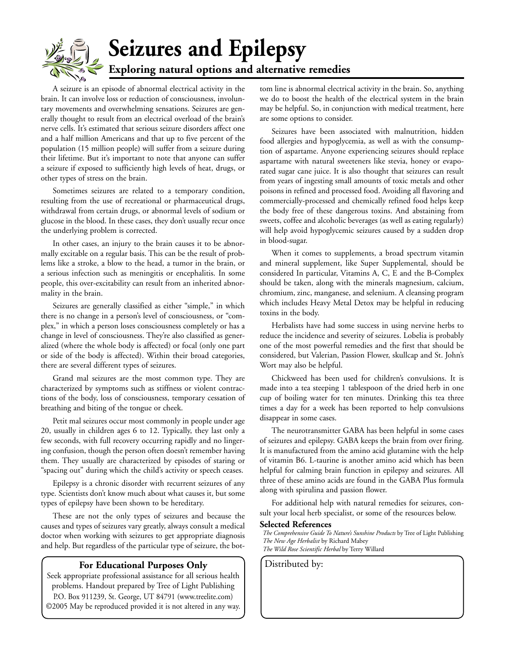# **Seizures and Epilepsy Exploring natural options and alternative remedies**

A seizure is an episode of abnormal electrical activity in the brain. It can involve loss or reduction of consciousness, involuntary movements and overwhelming sensations. Seizures are generally thought to result from an electrical overload of the brain's nerve cells. It's estimated that serious seizure disorders affect one and a half million Americans and that up to five percent of the population (15 million people) will suffer from a seizure during their lifetime. But it's important to note that anyone can suffer a seizure if exposed to sufficiently high levels of heat, drugs, or other types of stress on the brain.

Sometimes seizures are related to a temporary condition, resulting from the use of recreational or pharmaceutical drugs, withdrawal from certain drugs, or abnormal levels of sodium or glucose in the blood. In these cases, they don't usually recur once the underlying problem is corrected.

In other cases, an injury to the brain causes it to be abnormally excitable on a regular basis. This can be the result of problems like a stroke, a blow to the head, a tumor in the brain, or a serious infection such as meningitis or encephalitis. In some people, this over-excitability can result from an inherited abnormality in the brain.

Seizures are generally classified as either "simple," in which there is no change in a person's level of consciousness, or "complex," in which a person loses consciousness completely or has a change in level of consciousness. They're also classified as generalized (where the whole body is affected) or focal (only one part or side of the body is affected). Within their broad categories, there are several different types of seizures.

Grand mal seizures are the most common type. They are characterized by symptoms such as stiffness or violent contractions of the body, loss of consciousness, temporary cessation of breathing and biting of the tongue or cheek.

Petit mal seizures occur most commonly in people under age 20, usually in children ages 6 to 12. Typically, they last only a few seconds, with full recovery occurring rapidly and no lingering confusion, though the person often doesn't remember having them. They usually are characterized by episodes of staring or "spacing out" during which the child's activity or speech ceases.

Epilepsy is a chronic disorder with recurrent seizures of any type. Scientists don't know much about what causes it, but some types of epilepsy have been shown to be hereditary.

These are not the only types of seizures and because the causes and types of seizures vary greatly, always consult a medical doctor when working with seizures to get appropriate diagnosis and help. But regardless of the particular type of seizure, the bot-

#### **For Educational Purposes Only** | Distributed by:

Seek appropriate professional assistance for all serious health problems. Handout prepared by Tree of Light Publishing P.O. Box 911239, St. George, UT 84791 (www.treelite.com) ©2005 May be reproduced provided it is not altered in any way. tom line is abnormal electrical activity in the brain. So, anything we do to boost the health of the electrical system in the brain may be helpful. So, in conjunction with medical treatment, here are some options to consider.

Seizures have been associated with malnutrition, hidden food allergies and hypoglycemia, as well as with the consumption of aspartame. Anyone experiencing seizures should replace aspartame with natural sweeteners like stevia, honey or evaporated sugar cane juice. It is also thought that seizures can result from years of ingesting small amounts of toxic metals and other poisons in refined and processed food. Avoiding all flavoring and commercially-processed and chemically refined food helps keep the body free of these dangerous toxins. And abstaining from sweets, coffee and alcoholic beverages (as well as eating regularly) will help avoid hypoglycemic seizures caused by a sudden drop in blood-sugar.

When it comes to supplements, a broad spectrum vitamin and mineral supplement, like Super Supplemental, should be considered In particular, Vitamins A, C, E and the B-Complex should be taken, along with the minerals magnesium, calcium, chromium, zinc, manganese, and selenium. A cleansing program which includes Heavy Metal Detox may be helpful in reducing toxins in the body.

Herbalists have had some success in using nervine herbs to reduce the incidence and severity of seizures. Lobelia is probably one of the most powerful remedies and the first that should be considered, but Valerian, Passion Flower, skullcap and St. John's Wort may also be helpful.

Chickweed has been used for children's convulsions. It is made into a tea steeping 1 tablespoon of the dried herb in one cup of boiling water for ten minutes. Drinking this tea three times a day for a week has been reported to help convulsions disappear in some cases.

The neurotransmitter GABA has been helpful in some cases of seizures and epilepsy. GABA keeps the brain from over firing. It is manufactured from the amino acid glutamine with the help of vitamin B6. L-taurine is another amino acid which has been helpful for calming brain function in epilepsy and seizures. All three of these amino acids are found in the GABA Plus formula along with spirulina and passion flower.

For additional help with natural remedies for seizures, consult your local herb specialist, or some of the resources below.

#### **Selected References**

*The Comprehensive Guide To Nature's Sunshine Products* by Tree of Light Publishing *The New Age Herbalist* by Richard Mabey *The Wild Rose Scientific Herbal* by Terry Willard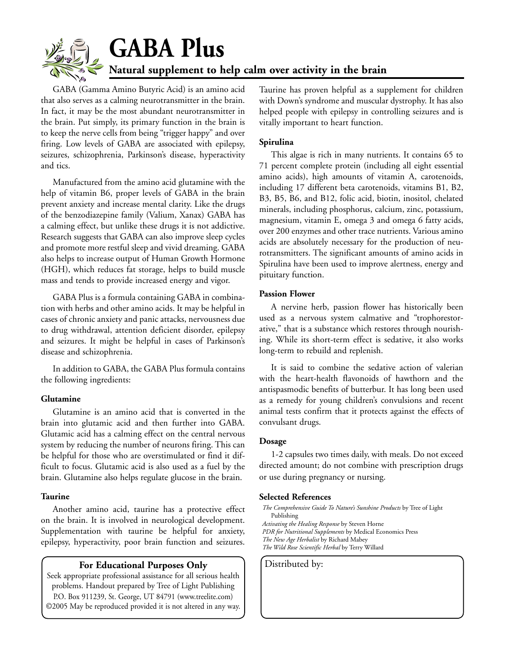

# **GABA Plus Natural supplement to help calm over activity in the brain**

GABA (Gamma Amino Butyric Acid) is an amino acid that also serves as a calming neurotransmitter in the brain. In fact, it may be the most abundant neurotransmitter in the brain. Put simply, its primary function in the brain is to keep the nerve cells from being "trigger happy" and over firing. Low levels of GABA are associated with epilepsy, seizures, schizophrenia, Parkinson's disease, hyperactivity and tics.

Manufactured from the amino acid glutamine with the help of vitamin B6, proper levels of GABA in the brain prevent anxiety and increase mental clarity. Like the drugs of the benzodiazepine family (Valium, Xanax) GABA has a calming effect, but unlike these drugs it is not addictive. Research suggests that GABA can also improve sleep cycles and promote more restful sleep and vivid dreaming. GABA also helps to increase output of Human Growth Hormone (HGH), which reduces fat storage, helps to build muscle mass and tends to provide increased energy and vigor.

GABA Plus is a formula containing GABA in combination with herbs and other amino acids. It may be helpful in cases of chronic anxiety and panic attacks, nervousness due to drug withdrawal, attention deficient disorder, epilepsy and seizures. It might be helpful in cases of Parkinson's disease and schizophrenia.

In addition to GABA, the GABA Plus formula contains the following ingredients:

#### **Glutamine**

Glutamine is an amino acid that is converted in the brain into glutamic acid and then further into GABA. Glutamic acid has a calming effect on the central nervous system by reducing the number of neurons firing. This can be helpful for those who are overstimulated or find it difficult to focus. Glutamic acid is also used as a fuel by the brain. Glutamine also helps regulate glucose in the brain.

#### **Taurine**

Another amino acid, taurine has a protective effect on the brain. It is involved in neurological development. Supplementation with taurine be helpful for anxiety, epilepsy, hyperactivity, poor brain function and seizures.

#### **For Educational Purposes Only** | Distributed by:

Seek appropriate professional assistance for all serious health problems. Handout prepared by Tree of Light Publishing P.O. Box 911239, St. George, UT 84791 (www.treelite.com) ©2005 May be reproduced provided it is not altered in any way. Taurine has proven helpful as a supplement for children with Down's syndrome and muscular dystrophy. It has also helped people with epilepsy in controlling seizures and is vitally important to heart function.

#### **Spirulina**

This algae is rich in many nutrients. It contains 65 to 71 percent complete protein (including all eight essential amino acids), high amounts of vitamin A, carotenoids, including 17 different beta carotenoids, vitamins B1, B2, B3, B5, B6, and B12, folic acid, biotin, inositol, chelated minerals, including phosphorus, calcium, zinc, potassium, magnesium, vitamin E, omega 3 and omega 6 fatty acids, over 200 enzymes and other trace nutrients. Various amino acids are absolutely necessary for the production of neurotransmitters. The significant amounts of amino acids in Spirulina have been used to improve alertness, energy and pituitary function.

#### **Passion Flower**

A nervine herb, passion flower has historically been used as a nervous system calmative and "trophorestorative," that is a substance which restores through nourishing. While its short-term effect is sedative, it also works long-term to rebuild and replenish.

It is said to combine the sedative action of valerian with the heart-health flavonoids of hawthorn and the antispasmodic benefits of butterbur. It has long been used as a remedy for young children's convulsions and recent animal tests confirm that it protects against the effects of convulsant drugs.

#### **Dosage**

1-2 capsules two times daily, with meals. Do not exceed directed amount; do not combine with prescription drugs or use during pregnancy or nursing.

#### **Selected References**

*The Comprehensive Guide To Nature's Sunshine Products* by Tree of Light Publishing *Activating the Healing Response* by Steven Horne *PDR for Nutritional Supplements* by Medical Economics Press *The New Age Herbalist* by Richard Mabey *The Wild Rose Scientific Herbal* by Terry Willard